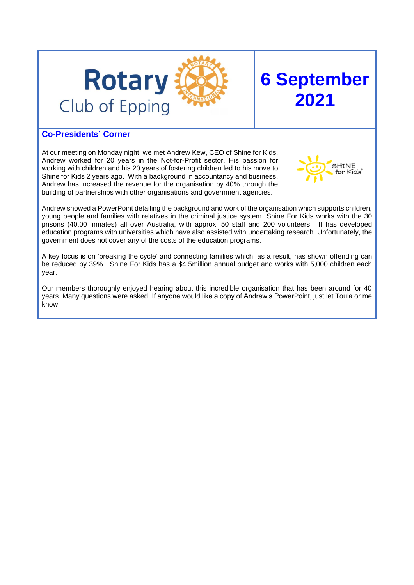

# **6 September 2021**

### **Co-Presidents' Corner**

At our meeting on Monday night, we met Andrew Kew, CEO of Shine for Kids. Andrew worked for 20 years in the Not-for-Profit sector. His passion for working with children and his 20 years of fostering children led to his move to Shine for Kids 2 years ago. With a background in accountancy and business, Andrew has increased the revenue for the organisation by 40% through the building of partnerships with other organisations and government agencies.



Andrew showed a PowerPoint detailing the background and work of the organisation which supports children, young people and families with relatives in the criminal justice system. Shine For Kids works with the 30 prisons (40,00 inmates) all over Australia, with approx. 50 staff and 200 volunteers. It has developed education programs with universities which have also assisted with undertaking research. Unfortunately, the government does not cover any of the costs of the education programs.

A key focus is on 'breaking the cycle' and connecting families which, as a result, has shown offending can be reduced by 39%. Shine For Kids has a \$4.5million annual budget and works with 5,000 children each year.

Our members thoroughly enjoyed hearing about this incredible organisation that has been around for 40 years. Many questions were asked. If anyone would like a copy of Andrew's PowerPoint, just let Toula or me know.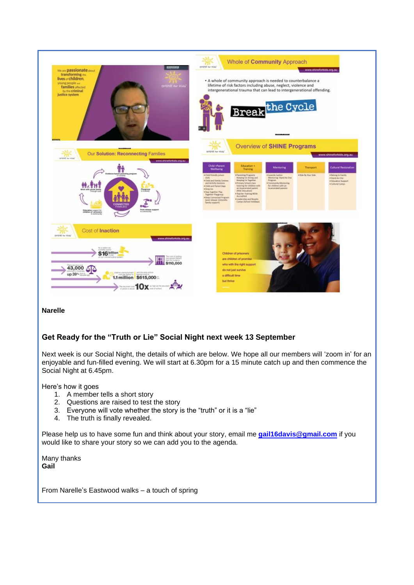

**Narelle**

## **Get Ready for the "Truth or Lie" Social Night next week 13 September**

Next week is our Social Night, the details of which are below. We hope all our members will 'zoom in' for an enjoyable and fun-filled evening. We will start at 6.30pm for a 15 minute catch up and then commence the Social Night at 6.45pm.

Here's how it goes

- 1. A member tells a short story
- 2. Questions are raised to test the story
- 3. Everyone will vote whether the story is the "truth" or it is a "lie"
- 4. The truth is finally revealed.

Please help us to have some fun and think about your story, email me **[gail16davis@gmail.com](mailto:gail16davis@gmail.com)** if you would like to share your story so we can add you to the agenda.

Many thanks **Gail**

From Narelle's Eastwood walks – a touch of spring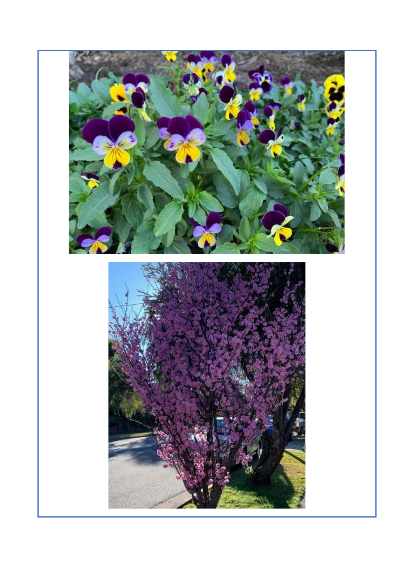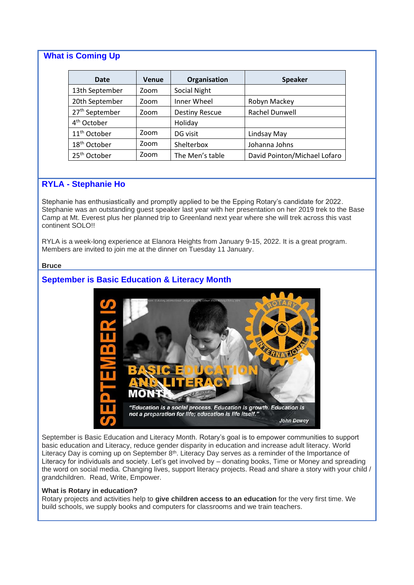## **What is Coming Up**

| Date                       | <b>Venue</b> | Organisation          | <b>Speaker</b>               |
|----------------------------|--------------|-----------------------|------------------------------|
| 13th September             | Zoom         | <b>Social Night</b>   |                              |
| 20th September             | Zoom         | Inner Wheel           | Robyn Mackey                 |
| 27 <sup>th</sup> September | Zoom         | <b>Destiny Rescue</b> | Rachel Dunwell               |
| 4 <sup>th</sup> October    |              | Holiday               |                              |
| 11 <sup>th</sup> October   | Zoom         | DG visit              | Lindsay May                  |
| 18 <sup>th</sup> October   | Zoom         | Shelterbox            | Johanna Johns                |
| 25 <sup>th</sup> October   | Zoom         | The Men's table       | David Pointon/Michael Lofaro |

# **RYLA - Stephanie Ho**

Stephanie has enthusiastically and promptly applied to be the Epping Rotary's candidate for 2022. Stephanie was an outstanding guest speaker last year with her presentation on her 2019 trek to the Base Camp at Mt. Everest plus her planned trip to Greenland next year where she will trek across this vast continent SOLO!!

RYLA is a week-long experience at Elanora Heights from January 9-15, 2022. It is a great program. Members are invited to join me at the dinner on Tuesday 11 January.

#### **Bruce**

# **September is Basic Education & Literacy Month**



September is Basic Education and Literacy Month. Rotary's goal is to empower communities to support basic education and Literacy, reduce gender disparity in education and increase adult literacy. World Literacy Day is coming up on September 8<sup>th</sup>. Literacy Day serves as a reminder of the Importance of Literacy for individuals and society. Let's get involved by – donating books, Time or Money and spreading the word on social media. Changing lives, support literacy projects. Read and share a story with your child / grandchildren. Read, Write, Empower.

#### **What is Rotary in education?**

Rotary projects and activities help to **give children access to an education** for the very first time. We build schools, we supply books and computers for classrooms and we train teachers.